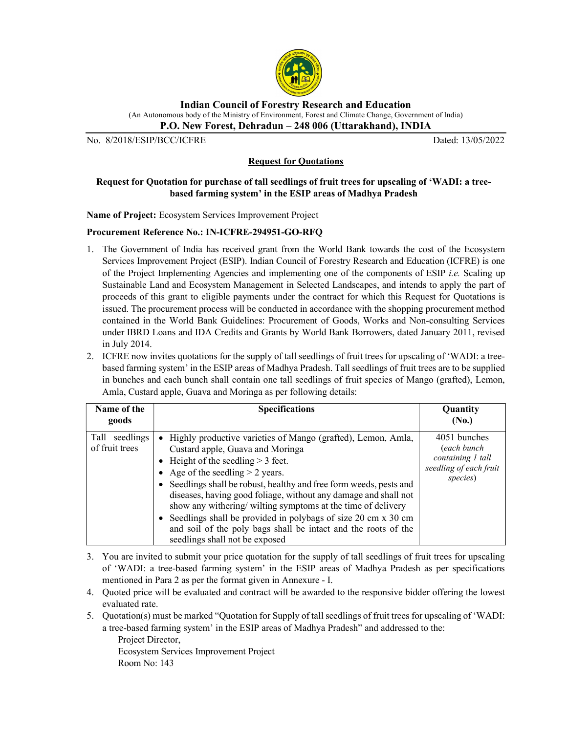

Indian Council of Forestry Research and Education (An Autonomous body of the Ministry of Environment, Forest and Climate Change, Government of India)

P.O. New Forest, Dehradun – 248 006 (Uttarakhand), INDIA

No. 8/2018/ESIP/BCC/ICFRE Dated: 13/05/2022

## Request for Quotations

# Request for Quotation for purchase of tall seedlings of fruit trees for upscaling of 'WADI: a treebased farming system' in the ESIP areas of Madhya Pradesh

Name of Project: Ecosystem Services Improvement Project

## Procurement Reference No.: IN-ICFRE-294951-GO-RFQ

- 1. The Government of India has received grant from the World Bank towards the cost of the Ecosystem Services Improvement Project (ESIP). Indian Council of Forestry Research and Education (ICFRE) is one of the Project Implementing Agencies and implementing one of the components of ESIP *i.e.* Scaling up Sustainable Land and Ecosystem Management in Selected Landscapes, and intends to apply the part of proceeds of this grant to eligible payments under the contract for which this Request for Quotations is issued. The procurement process will be conducted in accordance with the shopping procurement method contained in the World Bank Guidelines: Procurement of Goods, Works and Non-consulting Services under IBRD Loans and IDA Credits and Grants by World Bank Borrowers, dated January 2011, revised in July 2014.
- 2. ICFRE now invites quotations for the supply of tall seedlings of fruit trees for upscaling of 'WADI: a treebased farming system' in the ESIP areas of Madhya Pradesh. Tall seedlings of fruit trees are to be supplied in bunches and each bunch shall contain one tall seedlings of fruit species of Mango (grafted), Lemon, Amla, Custard apple, Guava and Moringa as per following details:

| Name of the<br>goods                | <b>Specifications</b>                                                                                                                                                                                                                                                                                                                                                                                                                                                                                                                                             | Quantity<br>(No.)                                                                      |
|-------------------------------------|-------------------------------------------------------------------------------------------------------------------------------------------------------------------------------------------------------------------------------------------------------------------------------------------------------------------------------------------------------------------------------------------------------------------------------------------------------------------------------------------------------------------------------------------------------------------|----------------------------------------------------------------------------------------|
| Tall<br>seedlings<br>of fruit trees | • Highly productive varieties of Mango (grafted), Lemon, Amla,<br>Custard apple, Guava and Moringa<br>• Height of the seedling $>$ 3 feet.<br>• Age of the seedling $>$ 2 years.<br>• Seedlings shall be robust, healthy and free form weeds, pests and<br>diseases, having good foliage, without any damage and shall not<br>show any withering/ wilting symptoms at the time of delivery<br>• Seedlings shall be provided in polybags of size 20 cm x 30 cm<br>and soil of the poly bags shall be intact and the roots of the<br>seedlings shall not be exposed | 4051 bunches<br>(each bunch<br>containing 1 tall<br>seedling of each fruit<br>species) |

- 3. You are invited to submit your price quotation for the supply of tall seedlings of fruit trees for upscaling of 'WADI: a tree-based farming system' in the ESIP areas of Madhya Pradesh as per specifications mentioned in Para 2 as per the format given in Annexure - I.
- 4. Quoted price will be evaluated and contract will be awarded to the responsive bidder offering the lowest evaluated rate.
- 5. Quotation(s) must be marked "Quotation for Supply of tall seedlings of fruit trees for upscaling of 'WADI: a tree-based farming system' in the ESIP areas of Madhya Pradesh" and addressed to the:

Project Director, Ecosystem Services Improvement Project Room No: 143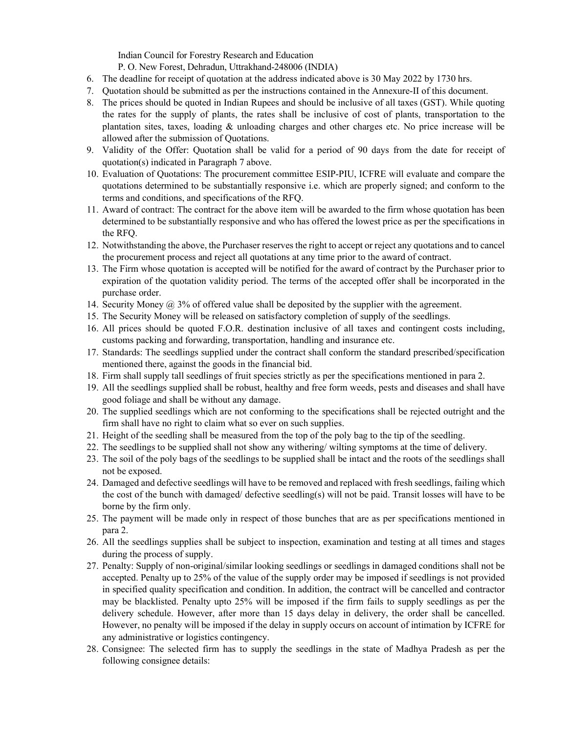Indian Council for Forestry Research and Education

P. O. New Forest, Dehradun, Uttrakhand-248006 (INDIA)

- 6. The deadline for receipt of quotation at the address indicated above is 30 May 2022 by 1730 hrs.
- 7. Quotation should be submitted as per the instructions contained in the Annexure-II of this document.
- 8. The prices should be quoted in Indian Rupees and should be inclusive of all taxes (GST). While quoting the rates for the supply of plants, the rates shall be inclusive of cost of plants, transportation to the plantation sites, taxes, loading & unloading charges and other charges etc. No price increase will be allowed after the submission of Quotations.
- 9. Validity of the Offer: Quotation shall be valid for a period of 90 days from the date for receipt of quotation(s) indicated in Paragraph 7 above.
- 10. Evaluation of Quotations: The procurement committee ESIP-PIU, ICFRE will evaluate and compare the quotations determined to be substantially responsive i.e. which are properly signed; and conform to the terms and conditions, and specifications of the RFQ.
- 11. Award of contract: The contract for the above item will be awarded to the firm whose quotation has been determined to be substantially responsive and who has offered the lowest price as per the specifications in the RFQ.
- 12. Notwithstanding the above, the Purchaser reserves the right to accept or reject any quotations and to cancel the procurement process and reject all quotations at any time prior to the award of contract.
- 13. The Firm whose quotation is accepted will be notified for the award of contract by the Purchaser prior to expiration of the quotation validity period. The terms of the accepted offer shall be incorporated in the purchase order.
- 14. Security Money @ 3% of offered value shall be deposited by the supplier with the agreement.
- 15. The Security Money will be released on satisfactory completion of supply of the seedlings.
- 16. All prices should be quoted F.O.R. destination inclusive of all taxes and contingent costs including, customs packing and forwarding, transportation, handling and insurance etc.
- 17. Standards: The seedlings supplied under the contract shall conform the standard prescribed/specification mentioned there, against the goods in the financial bid.
- 18. Firm shall supply tall seedlings of fruit species strictly as per the specifications mentioned in para 2.
- 19. All the seedlings supplied shall be robust, healthy and free form weeds, pests and diseases and shall have good foliage and shall be without any damage.
- 20. The supplied seedlings which are not conforming to the specifications shall be rejected outright and the firm shall have no right to claim what so ever on such supplies.
- 21. Height of the seedling shall be measured from the top of the poly bag to the tip of the seedling.
- 22. The seedlings to be supplied shall not show any withering/ wilting symptoms at the time of delivery.
- 23. The soil of the poly bags of the seedlings to be supplied shall be intact and the roots of the seedlings shall not be exposed.
- 24. Damaged and defective seedlings will have to be removed and replaced with fresh seedlings, failing which the cost of the bunch with damaged/ defective seedling(s) will not be paid. Transit losses will have to be borne by the firm only.
- 25. The payment will be made only in respect of those bunches that are as per specifications mentioned in para 2.
- 26. All the seedlings supplies shall be subject to inspection, examination and testing at all times and stages during the process of supply.
- 27. Penalty: Supply of non-original/similar looking seedlings or seedlings in damaged conditions shall not be accepted. Penalty up to 25% of the value of the supply order may be imposed if seedlings is not provided in specified quality specification and condition. In addition, the contract will be cancelled and contractor may be blacklisted. Penalty upto 25% will be imposed if the firm fails to supply seedlings as per the delivery schedule. However, after more than 15 days delay in delivery, the order shall be cancelled. However, no penalty will be imposed if the delay in supply occurs on account of intimation by ICFRE for any administrative or logistics contingency.
- 28. Consignee: The selected firm has to supply the seedlings in the state of Madhya Pradesh as per the following consignee details: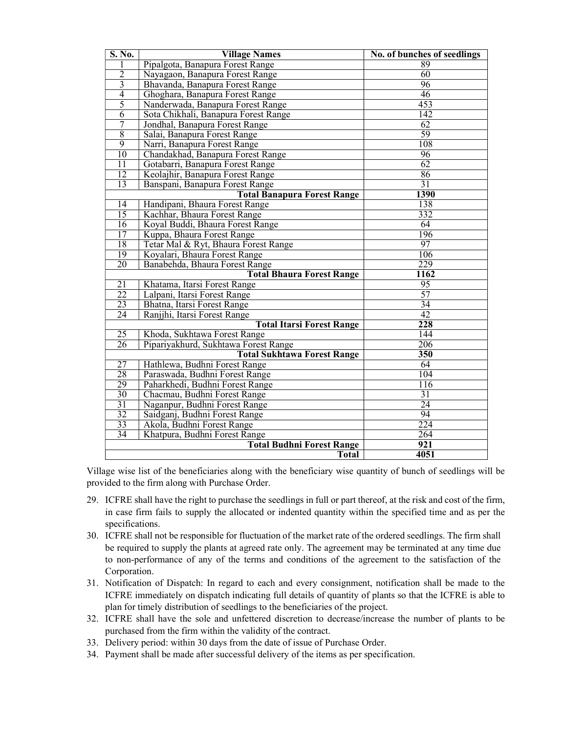| S. No.                             | <b>Village Names</b>                 | No. of bunches of seedlings |  |  |
|------------------------------------|--------------------------------------|-----------------------------|--|--|
|                                    | Pipalgota, Banapura Forest Range     | 89                          |  |  |
| $\overline{2}$                     | Nayagaon, Banapura Forest Range      | 60                          |  |  |
| $\overline{3}$                     | Bhavanda, Banapura Forest Range      | 96                          |  |  |
| $\overline{4}$                     | Ghoghara, Banapura Forest Range      | 46                          |  |  |
| 5                                  | Nanderwada, Banapura Forest Range    | 453                         |  |  |
| $\overline{6}$                     | Sota Chikhali, Banapura Forest Range | 142                         |  |  |
| 7                                  | Jondhal, Banapura Forest Range       | 62                          |  |  |
| $\overline{8}$                     | Salai, Banapura Forest Range         | 59                          |  |  |
| 9                                  | Narri, Banapura Forest Range         | 108                         |  |  |
| $\overline{10}$                    | Chandakhad, Banapura Forest Range    | 96                          |  |  |
| $\overline{11}$                    | Gotabarri, Banapura Forest Range     | 62                          |  |  |
| 12                                 | Keolajhir, Banapura Forest Range     | 86                          |  |  |
| 13                                 | Banspani, Banapura Forest Range      | 31                          |  |  |
| <b>Total Banapura Forest Range</b> |                                      | 1390                        |  |  |
| $\overline{14}$                    | Handipani, Bhaura Forest Range       | 138                         |  |  |
| $\overline{15}$                    | Kachhar, Bhaura Forest Range         | $\overline{332}$            |  |  |
| 16                                 | Koyal Buddi, Bhaura Forest Range     | 64                          |  |  |
| 17                                 | Kuppa, Bhaura Forest Range           | 196                         |  |  |
| 18                                 | Tetar Mal & Ryt, Bhaura Forest Range | 97                          |  |  |
| 19                                 | Koyalari, Bhaura Forest Range        | 106                         |  |  |
| 20                                 | Banabehda, Bhaura Forest Range       | 229                         |  |  |
| <b>Total Bhaura Forest Range</b>   |                                      | 1162                        |  |  |
| 21                                 | Khatama, Itarsi Forest Range         | 95                          |  |  |
| 22                                 | Lalpani, Itarsi Forest Range         | 57                          |  |  |
| 23                                 | Bhatna, Itarsi Forest Range          | 34                          |  |  |
| 24                                 | Ranjjhi, Itarsi Forest Range         | 42                          |  |  |
| <b>Total Itarsi Forest Range</b>   |                                      | $\overline{228}$            |  |  |
| $\overline{25}$                    | Khoda, Sukhtawa Forest Range         | 144                         |  |  |
| 26                                 | Pipariyakhurd, Sukhtawa Forest Range | 206                         |  |  |
|                                    | <b>Total Sukhtawa Forest Range</b>   | 350                         |  |  |
| 27                                 | Hathlewa, Budhni Forest Range        | 64                          |  |  |
| 28                                 | Paraswada, Budhni Forest Range       | 104                         |  |  |
| 29                                 | Paharkhedi, Budhni Forest Range      | $\overline{116}$            |  |  |
| 30                                 | Chacmau, Budhni Forest Range         | $\overline{31}$             |  |  |
| $\overline{31}$                    | Naganpur, Budhni Forest Range        | $\overline{24}$             |  |  |
| 32                                 | Saidganj, Budhni Forest Range        | $\overline{94}$             |  |  |
| 33                                 | Akola, Budhni Forest Range           | 224                         |  |  |
| 34                                 | Khatpura, Budhni Forest Range        | 264                         |  |  |
| <b>Total Budhni Forest Range</b>   |                                      | 921                         |  |  |
|                                    | <b>Total</b>                         | 4051                        |  |  |

Village wise list of the beneficiaries along with the beneficiary wise quantity of bunch of seedlings will be provided to the firm along with Purchase Order.

- 29. ICFRE shall have the right to purchase the seedlings in full or part thereof, at the risk and cost of the firm, in case firm fails to supply the allocated or indented quantity within the specified time and as per the specifications.
- 30. ICFRE shall not be responsible for fluctuation of the market rate of the ordered seedlings. The firm shall be required to supply the plants at agreed rate only. The agreement may be terminated at any time due to non-performance of any of the terms and conditions of the agreement to the satisfaction of the Corporation.
- 31. Notification of Dispatch: In regard to each and every consignment, notification shall be made to the ICFRE immediately on dispatch indicating full details of quantity of plants so that the ICFRE is able to plan for timely distribution of seedlings to the beneficiaries of the project.
- 32. ICFRE shall have the sole and unfettered discretion to decrease/increase the number of plants to be purchased from the firm within the validity of the contract.
- 33. Delivery period: within 30 days from the date of issue of Purchase Order.
- 34. Payment shall be made after successful delivery of the items as per specification.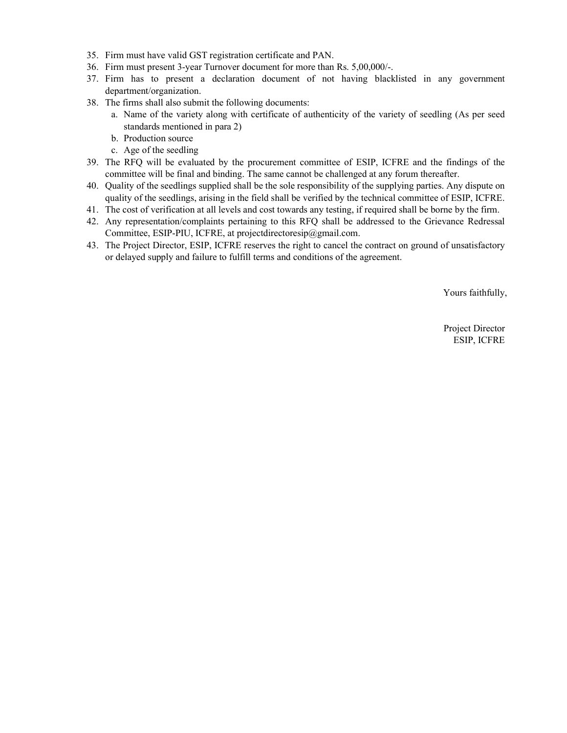- 35. Firm must have valid GST registration certificate and PAN.
- 36. Firm must present 3-year Turnover document for more than Rs. 5,00,000/-.
- 37. Firm has to present a declaration document of not having blacklisted in any government department/organization.
- 38. The firms shall also submit the following documents:
	- a. Name of the variety along with certificate of authenticity of the variety of seedling (As per seed standards mentioned in para 2)
	- b. Production source
	- c. Age of the seedling
- 39. The RFQ will be evaluated by the procurement committee of ESIP, ICFRE and the findings of the committee will be final and binding. The same cannot be challenged at any forum thereafter.
- 40. Quality of the seedlings supplied shall be the sole responsibility of the supplying parties. Any dispute on quality of the seedlings, arising in the field shall be verified by the technical committee of ESIP, ICFRE.
- 41. The cost of verification at all levels and cost towards any testing, if required shall be borne by the firm.
- 42. Any representation/complaints pertaining to this RFQ shall be addressed to the Grievance Redressal Committee, ESIP-PIU, ICFRE, at projectdirectoresip@gmail.com.
- 43. The Project Director, ESIP, ICFRE reserves the right to cancel the contract on ground of unsatisfactory or delayed supply and failure to fulfill terms and conditions of the agreement.

Yours faithfully,

Project Director ESIP, ICFRE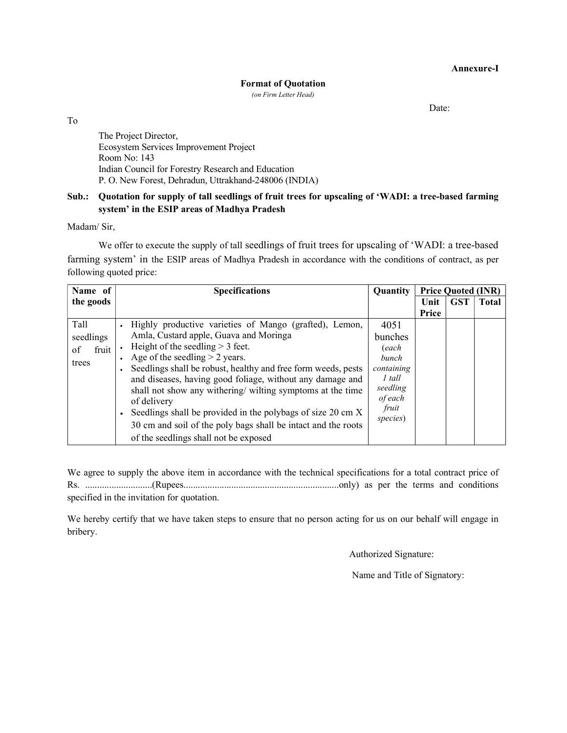Annexure-I

#### Format of Quotation

(on Firm Letter Head)

Date:

To

The Project Director, Ecosystem Services Improvement Project Room No: 143 Indian Council for Forestry Research and Education P. O. New Forest, Dehradun, Uttrakhand-248006 (INDIA)

# Sub.: Quotation for supply of tall seedlings of fruit trees for upscaling of 'WADI: a tree-based farming system' in the ESIP areas of Madhya Pradesh

Madam/ Sir,

We offer to execute the supply of tall seedlings of fruit trees for upscaling of 'WADI: a tree-based farming system' in the ESIP areas of Madhya Pradesh in accordance with the conditions of contract, as per following quoted price:

| Name of           | <b>Specifications</b>                                                    | Quantity         | <b>Price Quoted (INR)</b> |            |              |
|-------------------|--------------------------------------------------------------------------|------------------|---------------------------|------------|--------------|
| the goods         |                                                                          |                  | Unit                      | <b>GST</b> | <b>Total</b> |
|                   |                                                                          |                  | Price                     |            |              |
| Tall<br>seedlings | Highly productive varieties of Mango (grafted), Lemon,                   | 4051             |                           |            |              |
|                   | Amla, Custard apple, Guava and Moringa                                   | bunches          |                           |            |              |
| fruit<br>of       | Height of the seedling $>$ 3 feet.                                       | (each            |                           |            |              |
| trees             | Age of the seedling $>$ 2 years.                                         | <i>bunch</i>     |                           |            |              |
|                   | Seedlings shall be robust, healthy and free form weeds, pests            | containing       |                           |            |              |
|                   | and diseases, having good foliage, without any damage and                | $1$ tall         |                           |            |              |
|                   | shall not show any withering/ wilting symptoms at the time               | seedling         |                           |            |              |
|                   | of delivery                                                              | of each<br>fruit |                           |            |              |
|                   | Seedlings shall be provided in the polybags of size 20 cm X<br>$\bullet$ | species)         |                           |            |              |
|                   | 30 cm and soil of the poly bags shall be intact and the roots            |                  |                           |            |              |
|                   | of the seedlings shall not be exposed                                    |                  |                           |            |              |

We agree to supply the above item in accordance with the technical specifications for a total contract price of Rs. ............................(Rupees.................................................................only) as per the terms and conditions specified in the invitation for quotation.

We hereby certify that we have taken steps to ensure that no person acting for us on our behalf will engage in bribery.

Authorized Signature:

Name and Title of Signatory: